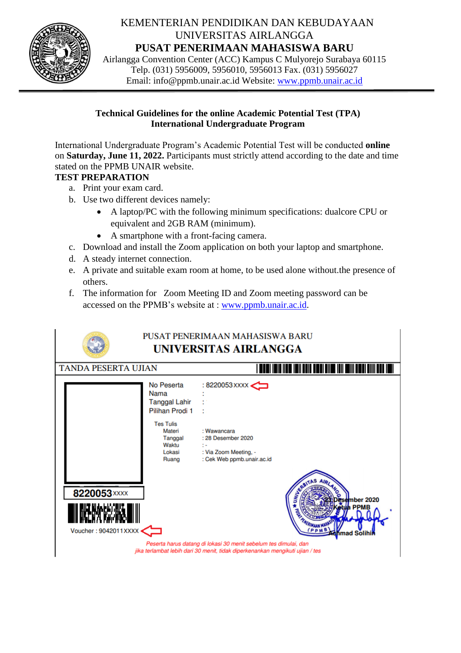

# KEMENTERIAN PENDIDIKAN DAN KEBUDAYAAN UNIVERSITAS AIRLANGGA **PUSAT PENERIMAAN MAHASISWA BARU**

Airlangga Convention Center (ACC) Kampus C Mulyorejo Surabaya 60115 Telp. (031) 5956009, 5956010, 5956013 Fax. (031) 5956027 Email: info@ppmb.unair.ac.id Website: [www.ppmb.unair.ac.id](http://www.ppmb.unair.ac.id/)

### **Technical Guidelines for the online Academic Potential Test (TPA) International Undergraduate Program**

International Undergraduate Program's Academic Potential Test will be conducted **online** on **Saturday, June 11, 2022.** Participants must strictly attend according to the date and time stated on the PPMB UNAIR website.

### **TEST PREPARATION**

- a. Print your exam card.
- b. Use two different devices namely:
	- A laptop/PC with the following minimum specifications: dualcore CPU or equivalent and 2GB RAM (minimum).
	- A smartphone with a front-facing camera.
- c. Download and install the Zoom application on both your laptop and smartphone.
- d. A steady internet connection.
- e. A private and suitable exam room at home, to be used alone without.the presence of others.
- f. The information for Zoom Meeting ID and Zoom meeting password can be accessed on the PPMB's website at : [www.ppmb.unair.ac.id.](http://www.ppmb.unair.ac.id/)